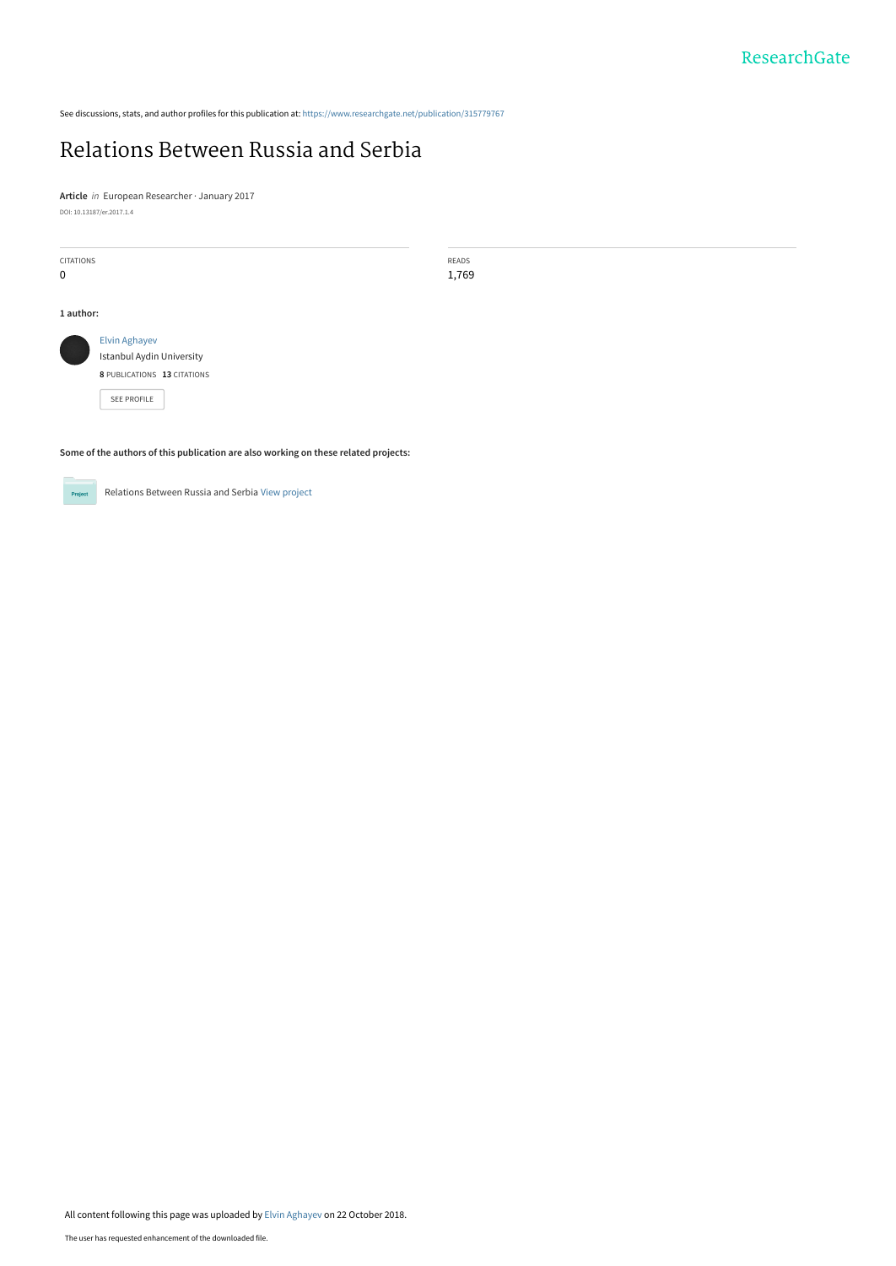See discussions, stats, and author profiles for this publication at: [https://www.researchgate.net/publication/315779767](https://www.researchgate.net/publication/315779767_Relations_Between_Russia_and_Serbia?enrichId=rgreq-02d13979d25d3df1fa43e27acdc14d85-XXX&enrichSource=Y292ZXJQYWdlOzMxNTc3OTc2NztBUzo2ODQ2MDE2OTM0NjI1MjlAMTU0MDIzMzE3MTQ2MA%3D%3D&el=1_x_2&_esc=publicationCoverPdf)

# [Relations Between Russia and Serbia](https://www.researchgate.net/publication/315779767_Relations_Between_Russia_and_Serbia?enrichId=rgreq-02d13979d25d3df1fa43e27acdc14d85-XXX&enrichSource=Y292ZXJQYWdlOzMxNTc3OTc2NztBUzo2ODQ2MDE2OTM0NjI1MjlAMTU0MDIzMzE3MTQ2MA%3D%3D&el=1_x_3&_esc=publicationCoverPdf)

**Article** in European Researcher · January 2017 DOI: 10.13187/er.2017.1.4

| <b>CITATIONS</b><br>$\mathbf 0$                                                                        |  | READS<br>1,769 |
|--------------------------------------------------------------------------------------------------------|--|----------------|
| 1 author:                                                                                              |  |                |
| <b>Elvin Aghayev</b><br>Istanbul Aydin University<br>8 PUBLICATIONS 13 CITATIONS<br><b>SEE PROFILE</b> |  |                |
| Some of the authors of this publication are also working on these related projects:                    |  |                |



Relations Between Russia and Serbia [View project](https://www.researchgate.net/project/Relations-Between-Russia-and-Serbia?enrichId=rgreq-02d13979d25d3df1fa43e27acdc14d85-XXX&enrichSource=Y292ZXJQYWdlOzMxNTc3OTc2NztBUzo2ODQ2MDE2OTM0NjI1MjlAMTU0MDIzMzE3MTQ2MA%3D%3D&el=1_x_9&_esc=publicationCoverPdf)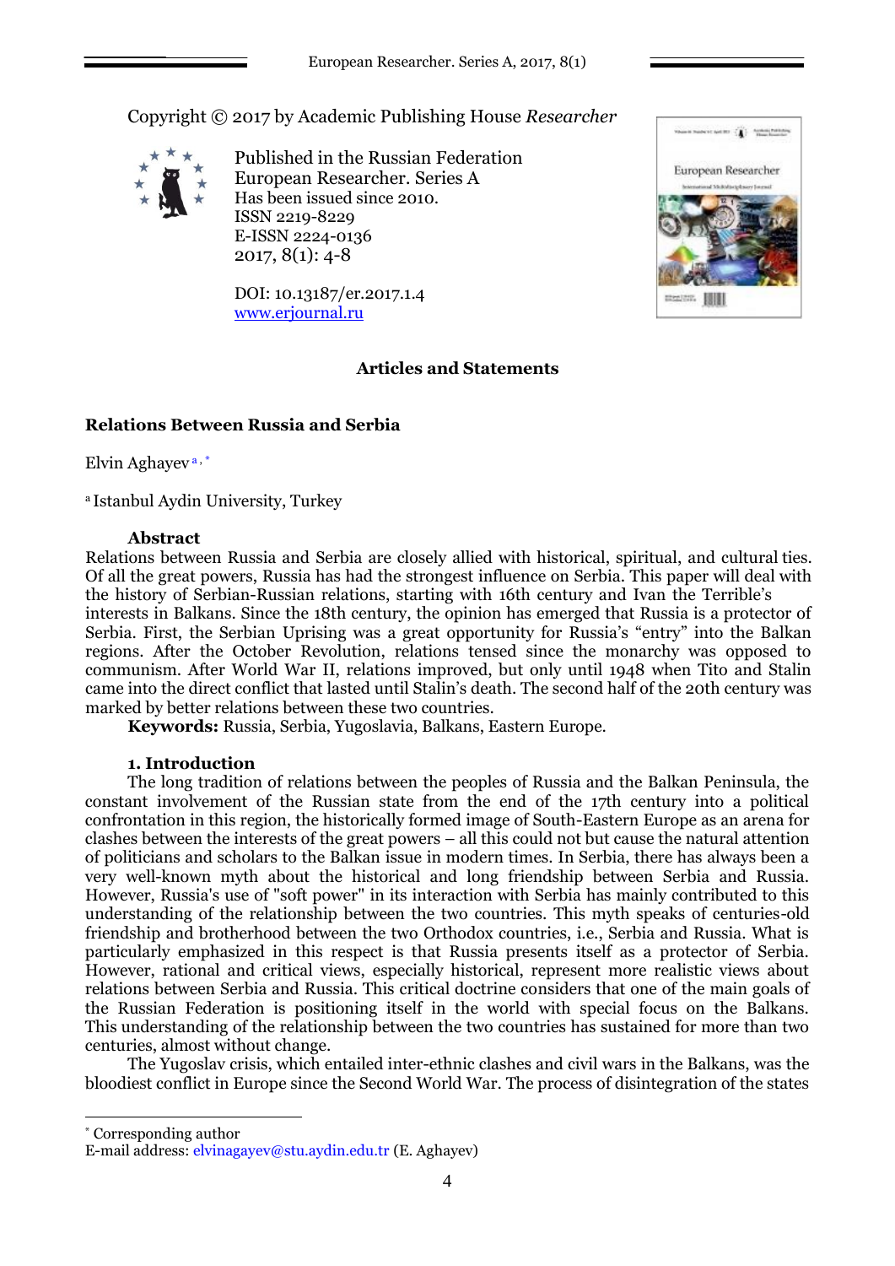Copyright © 2017 by Academic Publishing House *Researcher*



Published in the Russian Federation European Researcher. Series A Has been issued since 2010. ISSN 2219-8229 E-ISSN 2224-0136 2017, 8(1): 4-8

DOI: 10.13187/er.2017.1.4 [www.erjournal.ru](http://www.erjournal.ru/)

# **Articles and Statements**



# **Relations Between Russia and Serbia**

Elvin Aghayev <sup>a</sup> , \*

<sup>a</sup> Istanbul Aydin University, Turkey

## **Abstract**

Relations between Russia and Serbia are closely allied with historical, spiritual, and cultural ties. Of all the great powers, Russia has had the strongest influence on Serbia. This paper will deal with the history of Serbian-Russian relations, starting with 16th century and Ivan the Terrible's interests in Balkans. Since the 18th century, the opinion has emerged that Russia is a protector of Serbia. First, the Serbian Uprising was a great opportunity for Russia's "entry" into the Balkan regions. After the October Revolution, relations tensed since the monarchy was opposed to communism. After World War II, relations improved, but only until 1948 when Tito and Stalin came into the direct conflict that lasted until Stalin's death. The second half of the 20th century was marked by better relations between these two countries.

**Keywords:** Russia, Serbia, Yugoslavia, Balkans, Eastern Europe.

# **1. Introduction**

The long tradition of relations between the peoples of Russia and the Balkan Peninsula, the constant involvement of the Russian state from the end of the 17th century into a political confrontation in this region, the historically formed image of South-Eastern Europe as an arena for clashes between the interests of the great powers – all this could not but cause the natural attention of politicians and scholars to the Balkan issue in modern times. In Serbia, there has always been a very well-known myth about the historical and long friendship between Serbia and Russia. However, Russia's use of "soft power" in its interaction with Serbia has mainly contributed to this understanding of the relationship between the two countries. This myth speaks of centuries-old friendship and brotherhood between the two Orthodox countries, i.e., Serbia and Russia. What is particularly emphasized in this respect is that Russia presents itself as a protector of Serbia. However, rational and critical views, especially historical, represent more realistic views about relations between Serbia and Russia. This critical doctrine considers that one of the main goals of the Russian Federation is positioning itself in the world with special focus on the Balkans. This understanding of the relationship between the two countries has sustained for more than two centuries, almost without change.

The Yugoslav crisis, which entailed inter-ethnic clashes and civil wars in the Balkans, was the bloodiest conflict in Europe since the Second World War. The process of disintegration of the states

\* Corresponding author

E-mail address[: elvinagayev@stu.aydin.edu.tr \(](mailto:elvinagayev@stu.aydin.edu.tr)E. Aghayev)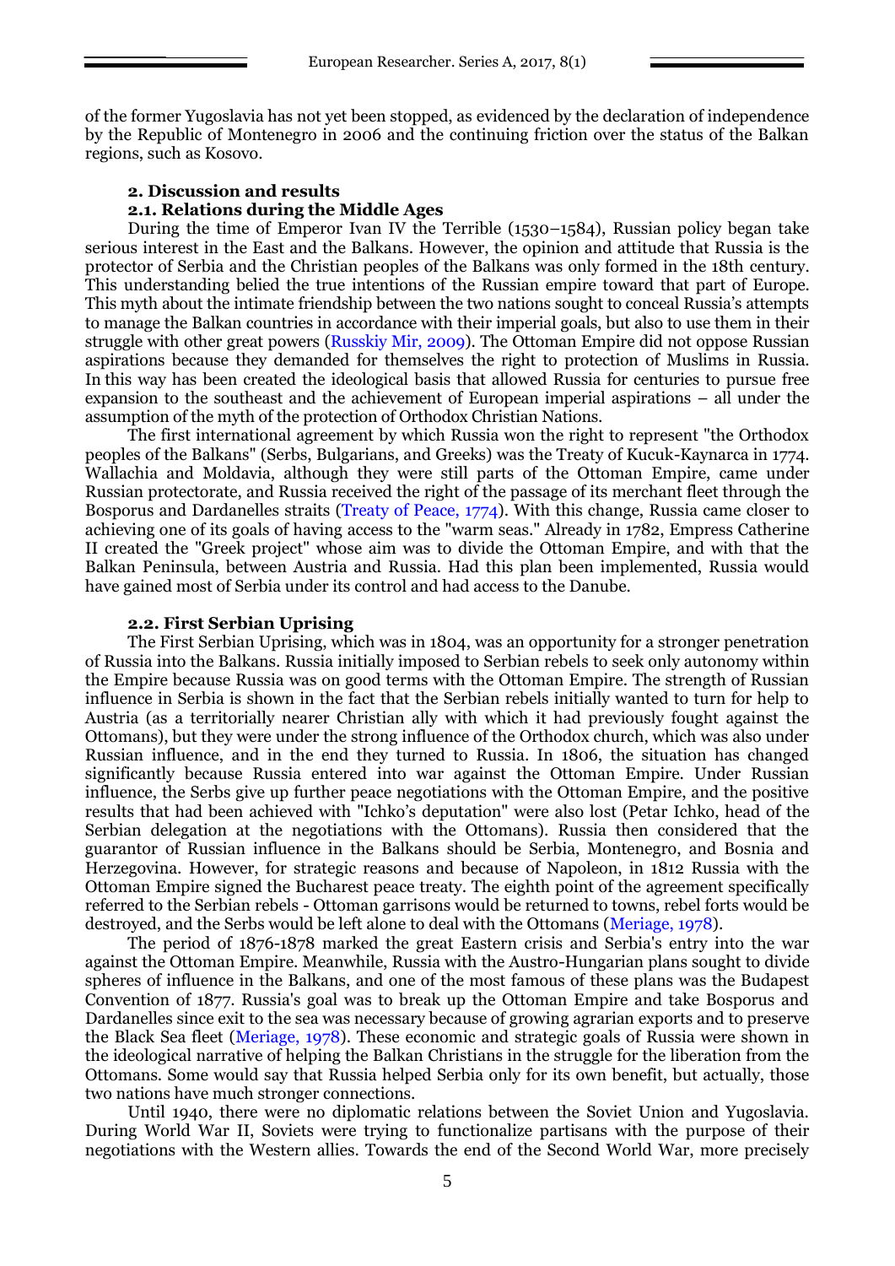of the former Yugoslavia has not yet been stopped, as evidenced by the declaration of independence by the Republic of Montenegro in 2006 and the continuing friction over the status of the Balkan regions, such as Kosovo.

#### **2. Discussion and results**

### **2.1. Relations during the Middle Ages**

During the time of Emperor Ivan IV the Terrible (1530–1584), Russian policy began take serious interest in the East and the Balkans. However, the opinion and attitude that Russia is the protector of Serbia and the Christian peoples of the Balkans was only formed in the 18th century. This understanding belied the true intentions of the Russian empire toward that part of Europe. This myth about the intimate friendship between the two nations sought to conceal Russia's attempts to manage the Balkan countries in accordance with their imperial goals, but also to use them in their struggle with other great powers (Russkiy Mir, 2009). The Ottoman Empire did not oppose Russian aspirations because they demanded for themselves the right to protection of Muslims in Russia. In this way has been created the ideological basis that allowed Russia for centuries to pursue free expansion to the southeast and the achievement of European imperial aspirations – all under the assumption of the myth of the protection of Orthodox Christian Nations.

The first international agreement by which Russia won the right to represent "the Orthodox peoples of the Balkans" (Serbs, Bulgarians, and Greeks) was the Treaty of Kucuk-Kaynarca in 1774. Wallachia and Moldavia, although they were still parts of the Ottoman Empire, came under Russian protectorate, and Russia received the right of the passage of its merchant fleet through the Bosporus and Dardanelles straits (Treaty of Peace, 1774). With this change, Russia came closer to achieving one of its goals of having access to the "warm seas." Already in 1782, Empress Catherine II created the "Greek project" whose aim was to divide the Ottoman Empire, and with that the Balkan Peninsula, between Austria and Russia. Had this plan been implemented, Russia would have gained most of Serbia under its control and had access to the Danube.

#### **2.2. First Serbian Uprising**

The First Serbian Uprising, which was in 1804, was an opportunity for a stronger penetration of Russia into the Balkans. Russia initially imposed to Serbian rebels to seek only autonomy within the Empire because Russia was on good terms with the Ottoman Empire. The strength of Russian influence in Serbia is shown in the fact that the Serbian rebels initially wanted to turn for help to Austria (as a territorially nearer Christian ally with which it had previously fought against the Ottomans), but they were under the strong influence of the Orthodox church, which was also under Russian influence, and in the end they turned to Russia. In 1806, the situation has changed significantly because Russia entered into war against the Ottoman Empire. Under Russian influence, the Serbs give up further peace negotiations with the Ottoman Empire, and the positive results that had been achieved with "Ichko's deputation" were also lost (Petar Ichko, head of the Serbian delegation at the negotiations with the Ottomans). Russia then considered that the guarantor of Russian influence in the Balkans should be Serbia, Montenegro, and Bosnia and Herzegovina. However, for strategic reasons and because of Napoleon, in 1812 Russia with the Ottoman Empire signed the Bucharest peace treaty. The eighth point of the agreement specifically referred to the Serbian rebels - Ottoman garrisons would be returned to towns, rebel forts would be destroyed, and the Serbs would be left alone to deal with the Ottomans (Meriage, 1978).

The period of 1876-1878 marked the great Eastern crisis and Serbia's entry into the war against the Ottoman Empire. Meanwhile, Russia with the Austro-Hungarian plans sought to divide spheres of influence in the Balkans, and one of the most famous of these plans was the Budapest Convention of 1877. Russia's goal was to break up the Ottoman Empire and take Bosporus and Dardanelles since exit to the sea was necessary because of growing agrarian exports and to preserve the Black Sea fleet (Meriage, 1978). These economic and strategic goals of Russia were shown in the ideological narrative of helping the Balkan Christians in the struggle for the liberation from the Ottomans. Some would say that Russia helped Serbia only for its own benefit, but actually, those two nations have much stronger connections.

Until 1940, there were no diplomatic relations between the Soviet Union and Yugoslavia. During World War II, Soviets were trying to functionalize partisans with the purpose of their negotiations with the Western allies. Towards the end of the Second World War, more precisely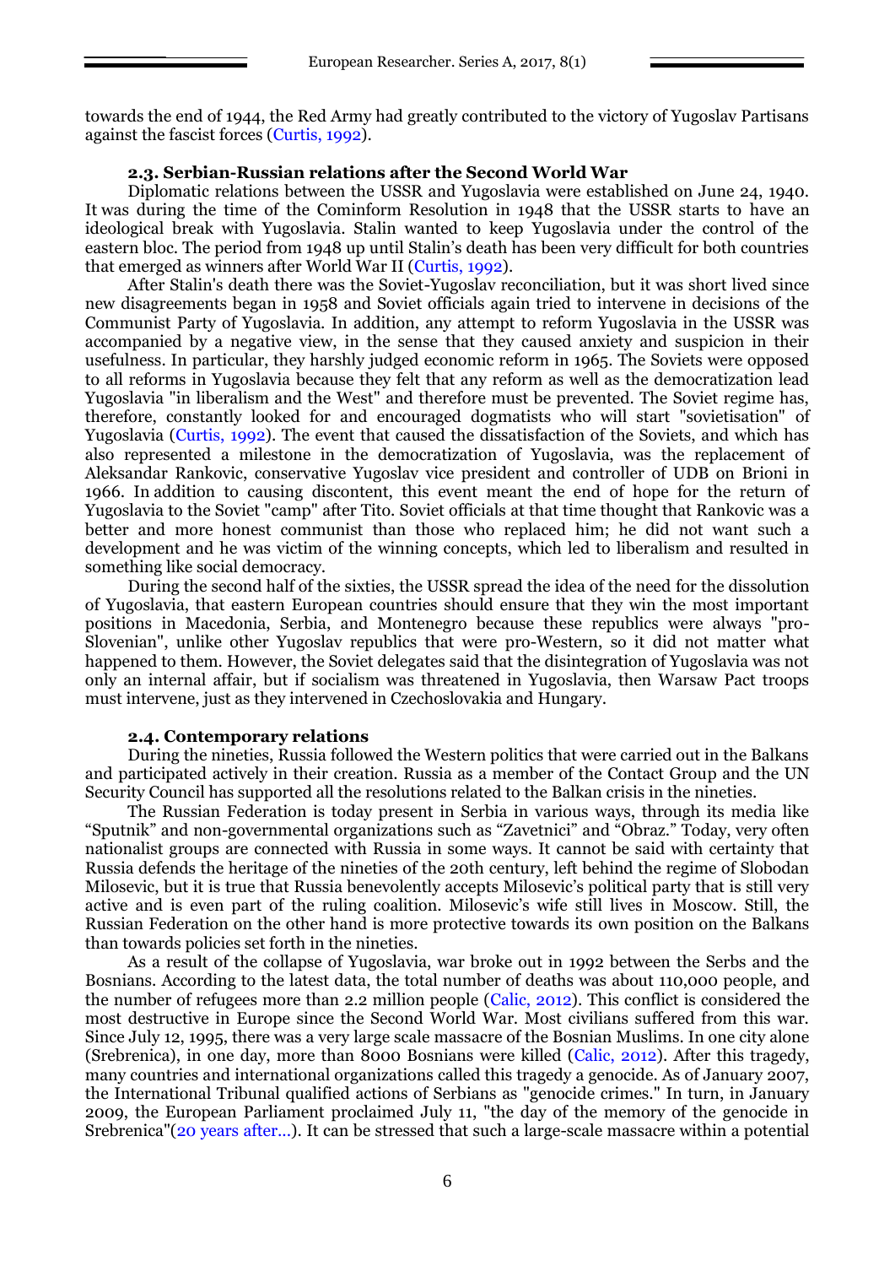towards the end of 1944, the Red Army had greatly contributed to the victory of Yugoslav Partisans against the fascist forces (Curtis, 1992).

### **2.3. Serbian-Russian relations after the Second World War**

Diplomatic relations between the USSR and Yugoslavia were established on June 24, 1940. It was during the time of the Cominform Resolution in 1948 that the USSR starts to have an ideological break with Yugoslavia. Stalin wanted to keep Yugoslavia under the control of the eastern bloc. The period from 1948 up until Stalin's death has been very difficult for both countries that emerged as winners after World War II (Curtis, 1992).

After Stalin's death there was the Soviet-Yugoslav reconciliation, but it was short lived since new disagreements began in 1958 and Soviet officials again tried to intervene in decisions of the Communist Party of Yugoslavia. In addition, any attempt to reform Yugoslavia in the USSR was accompanied by a negative view, in the sense that they caused anxiety and suspicion in their usefulness. In particular, they harshly judged economic reform in 1965. The Soviets were opposed to all reforms in Yugoslavia because they felt that any reform as well as the democratization lead Yugoslavia "in liberalism and the West" and therefore must be prevented. The Soviet regime has, therefore, constantly looked for and encouraged dogmatists who will start "sovietisation" of Yugoslavia (Curtis, 1992). The event that caused the dissatisfaction of the Soviets, and which has also represented a milestone in the democratization of Yugoslavia, was the replacement of Aleksandar Rankovic, conservative Yugoslav vice president and controller of UDB on Brioni in 1966. In addition to causing discontent, this event meant the end of hope for the return of Yugoslavia to the Soviet "camp" after Tito. Soviet officials at that time thought that Rankovic was a better and more honest communist than those who replaced him; he did not want such a development and he was victim of the winning concepts, which led to liberalism and resulted in something like social democracy.

During the second half of the sixties, the USSR spread the idea of the need for the dissolution of Yugoslavia, that eastern European countries should ensure that they win the most important positions in Macedonia, Serbia, and Montenegro because these republics were always "pro-Slovenian", unlike other Yugoslav republics that were pro-Western, so it did not matter what happened to them. However, the Soviet delegates said that the disintegration of Yugoslavia was not only an internal affair, but if socialism was threatened in Yugoslavia, then Warsaw Pact troops must intervene, just as they intervened in Czechoslovakia and Hungary.

#### **2.4. Contemporary relations**

During the nineties, Russia followed the Western politics that were carried out in the Balkans and participated actively in their creation. Russia as a member of the Contact Group and the UN Security Council has supported all the resolutions related to the Balkan crisis in the nineties.

The Russian Federation is today present in Serbia in various ways, through its media like "Sputnik" and non-governmental organizations such as "Zavetnici" and "Obraz." Today, very often nationalist groups are connected with Russia in some ways. It cannot be said with certainty that Russia defends the heritage of the nineties of the 20th century, left behind the regime of Slobodan Milosevic, but it is true that Russia benevolently accepts Milosevic's political party that is still very active and is even part of the ruling coalition. Milosevic's wife still lives in Moscow. Still, the Russian Federation on the other hand is more protective towards its own position on the Balkans than towards policies set forth in the nineties.

As a result of the collapse of Yugoslavia, war broke out in 1992 between the Serbs and the Bosnians. According to the latest data, the total number of deaths was about 110,000 people, and the number of refugees more than 2.2 million people (Calic, 2012). This conflict is considered the most destructive in Europe since the Second World War. Most civilians suffered from this war. Since July 12, 1995, there was a very large scale massacre of the Bosnian Muslims. In one city alone (Srebrenica), in one day, more than 8000 Bosnians were killed (Calic, 2012). After this tragedy, many countries and international organizations called this tragedy a genocide. As of January 2007, the International Tribunal qualified actions of Serbians as "genocide crimes." In turn, in January 2009, the European Parliament proclaimed July 11, "the day of the memory of the genocide in Srebrenica"(20 years after...). It can be stressed that such a large-scale massacre within a potential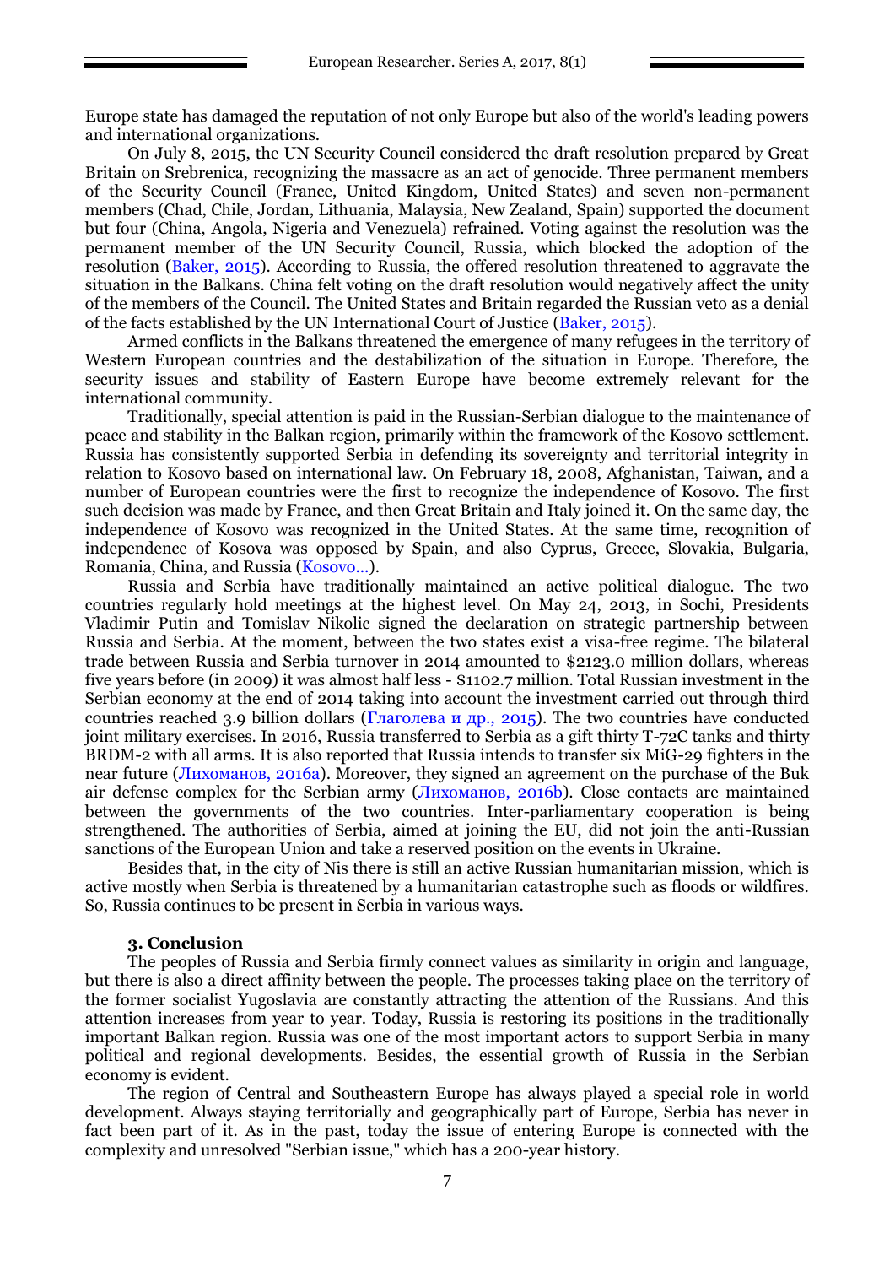Europe state has damaged the reputation of not only Europe but also of the world's leading powers and international organizations.

On July 8, 2015, the UN Security Council considered the draft resolution prepared by Great Britain on Srebrenica, recognizing the massacre as an act of genocide. Three permanent members of the Security Council (France, United Kingdom, United States) and seven non-permanent members (Chad, Chile, Jordan, Lithuania, Malaysia, New Zealand, Spain) supported the document but four (China, Angola, Nigeria and Venezuela) refrained. Voting against the resolution was the permanent member of the UN Security Council, Russia, which blocked the adoption of the resolution (Baker, 2015). According to Russia, the offered resolution threatened to aggravate the situation in the Balkans. China felt voting on the draft resolution would negatively affect the unity of the members of the Council. The United States and Britain regarded the Russian veto as a denial of the facts established by the UN International Court of Justice (Baker, 2015).

Armed conflicts in the Balkans threatened the emergence of many refugees in the territory of Western European countries and the destabilization of the situation in Europe. Therefore, the security issues and stability of Eastern Europe have become extremely relevant for the international community.

Traditionally, special attention is paid in the Russian-Serbian dialogue to the maintenance of peace and stability in the Balkan region, primarily within the framework of the Kosovo settlement. Russia has consistently supported Serbia in defending its sovereignty and territorial integrity in relation to Kosovo based on international law. On February 18, 2008, Afghanistan, Taiwan, and a number of European countries were the first to recognize the independence of Kosovo. The first such decision was made by France, and then Great Britain and Italy joined it. On the same day, the independence of Kosovo was recognized in the United States. At the same time, recognition of independence of Kosova was opposed by Spain, and also Cyprus, Greece, Slovakia, Bulgaria, Romania, China, and Russia (Kosovo...).

Russia and Serbia have traditionally maintained an active political dialogue. The two countries regularly hold meetings at the highest level. On May 24, 2013, in Sochi, Presidents Vladimir Putin and Tomislav Nikolic signed the declaration on strategic partnership between Russia and Serbia. At the moment, between the two states exist a visa-free regime. The bilateral trade between Russia and Serbia turnover in 2014 amounted to \$2123.0 million dollars, whereas five years before (in 2009) it was almost half less - \$1102.7 million. Total Russian investment in the Serbian economy at the end of 2014 taking into account the investment carried out through third countries reached 3.9 billion dollars ( $\Gamma$ лаголева и др., 2015). The two countries have conducted joint military exercises. In 2016, Russia transferred to Serbia as a gift thirty T-72C tanks and thirty BRDM-2 with all arms. It is also reported that Russia intends to transfer six MiG-29 fighters in the near future (Лихоманов, 2016a). Moreover, they signed an agreement on the purchase of the Buk air defense complex for the Serbian army (Лихоманов, 2016b). Close contacts are maintained between the governments of the two countries. Inter-parliamentary cooperation is being strengthened. The authorities of Serbia, aimed at joining the EU, did not join the anti-Russian sanctions of the European Union and take a reserved position on the events in Ukraine.

Besides that, in the city of Nis there is still an active Russian humanitarian mission, which is active mostly when Serbia is threatened by a humanitarian catastrophe such as floods or wildfires. So, Russia continues to be present in Serbia in various ways.

### **3. Conclusion**

The peoples of Russia and Serbia firmly connect values as similarity in origin and language, but there is also a direct affinity between the people. The processes taking place on the territory of the former socialist Yugoslavia are constantly attracting the attention of the Russians. And this attention increases from year to year. Today, Russia is restoring its positions in the traditionally important Balkan region. Russia was one of the most important actors to support Serbia in many political and regional developments. Besides, the essential growth of Russia in the Serbian economy is evident.

The region of Central and Southeastern Europe has always played a special role in world development. Always staying territorially and geographically part of Europe, Serbia has never in fact been part of it. As in the past, today the issue of entering Europe is connected with the complexity and unresolved "Serbian issue," which has a 200-year history.